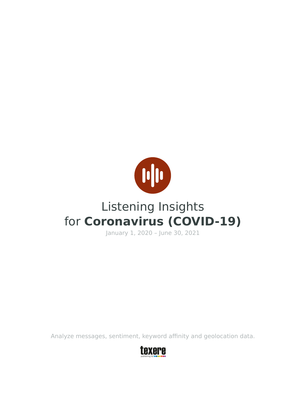

# Listening Insights for **Coronavirus (COVID-19)**

January 1, 2020 – June 30, 2021

Analyze messages, sentiment, keyword affinity and geolocation data.

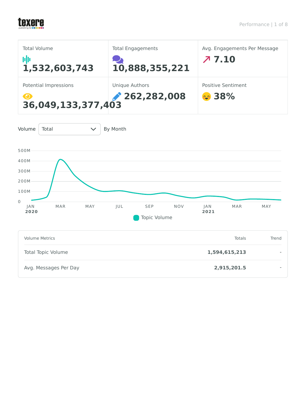## texere

| <b>Total Volume</b><br><b>M</b><br>1,532,603,743                     | <b>Total Engagements</b><br>10,888,355,221 | Avg. Engagements Per Message<br>77.10 |
|----------------------------------------------------------------------|--------------------------------------------|---------------------------------------|
| Potential Impressions<br>$\boldsymbol{\Theta}$<br>36,049,133,377,403 | <b>Unique Authors</b><br>262,282,008       | Positive Sentiment<br><b>co</b> 38%   |

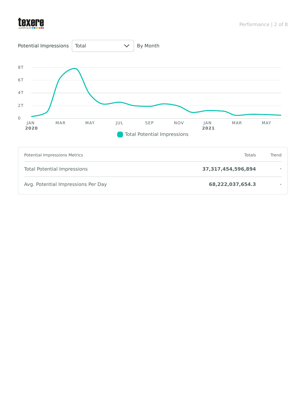

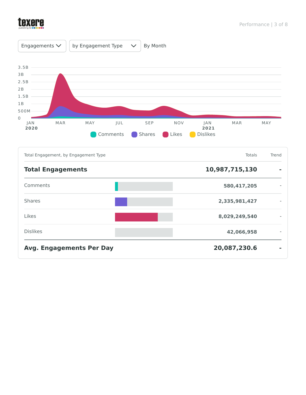

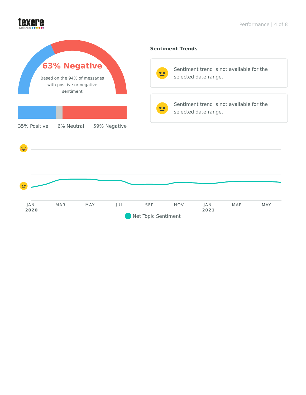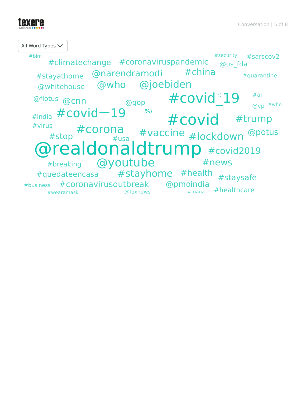

All Word Types @realdonaldtrump #covid2019 #covid #covid<sup></sup>19 #covidー19 @youtube  $\stackrel{\text{s}}{=}$  #COrona #vaccine #lockdown @potus @joebiden @who #trump #stayhome #health #news @narendramodi #china @flotus <sub>@CNN</sub> #coronavirusoutbreak #business #coronaviruspandemic #climatechange #staysafe @pmoindia #quedateencasa @whitehouse #stayathome @gop #breaking #usa #healthcare @us\_fda #virus #india #sarscov2 #ai @vp #who %) #quarantine #wearamask @foxnews #blm #security #maga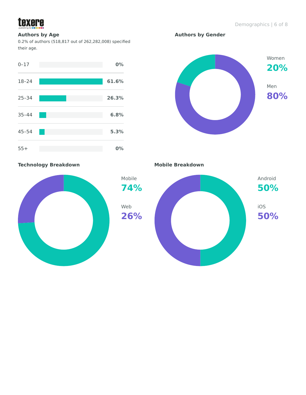

### **Authors by Age**

0.2% of authors (518,817 out of 262,282,008) specified their age.



Women **20%** Men **80%**

**Authors by Gender**

**Technology Breakdown Mobile Breakdown** 



**26%**

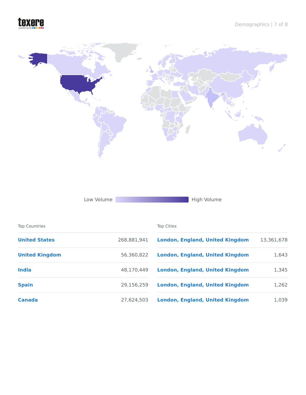## texere



Low Volume **High Volume** High Volume

| <b>Top Countries</b>  |             | <b>Top Cities</b>                      |            |
|-----------------------|-------------|----------------------------------------|------------|
| <b>United States</b>  | 268,881,941 | <b>London, England, United Kingdom</b> | 13,361,678 |
| <b>United Kingdom</b> | 56,360,822  | <b>London, England, United Kingdom</b> | 1,643      |
| <b>India</b>          | 48.170.449  | <b>London, England, United Kingdom</b> | 1,345      |
| <b>Spain</b>          | 29.156.259  | <b>London, England, United Kingdom</b> | 1,262      |
| Canada                | 27.624.503  | <b>London, England, United Kingdom</b> | 1,039      |